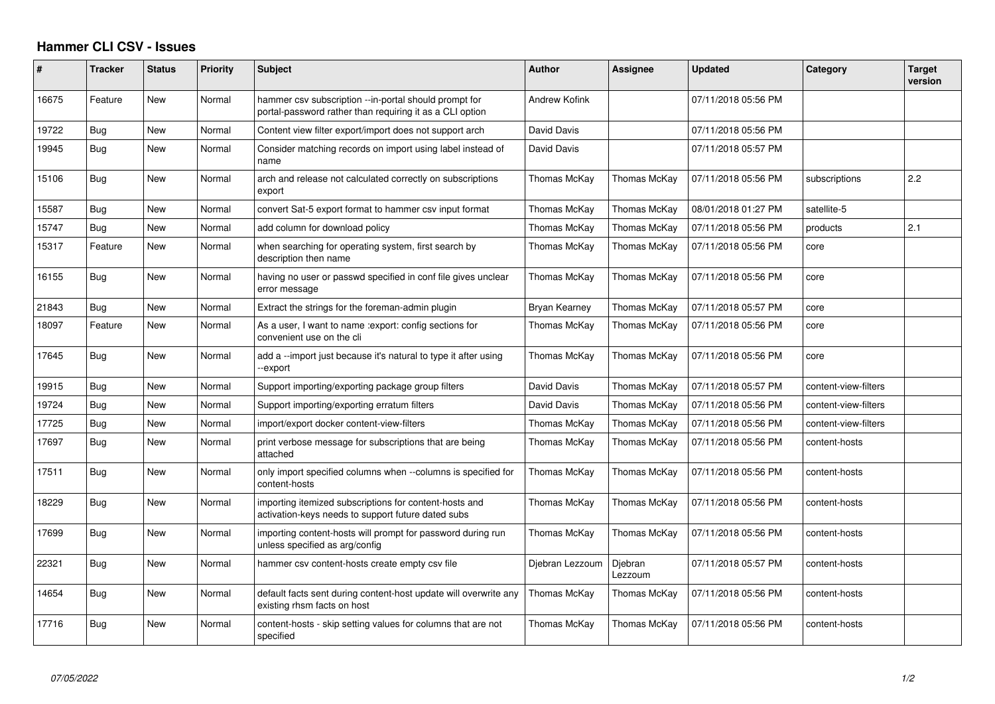## **Hammer CLI CSV - Issues**

| #     | <b>Tracker</b> | <b>Status</b> | <b>Priority</b> | <b>Subject</b>                                                                                                    | <b>Author</b>   | <b>Assignee</b>    | <b>Updated</b>      | Category             | <b>Target</b><br>version |
|-------|----------------|---------------|-----------------|-------------------------------------------------------------------------------------------------------------------|-----------------|--------------------|---------------------|----------------------|--------------------------|
| 16675 | Feature        | <b>New</b>    | Normal          | hammer csv subscription --in-portal should prompt for<br>portal-password rather than requiring it as a CLI option | Andrew Kofink   |                    | 07/11/2018 05:56 PM |                      |                          |
| 19722 | Bug            | New           | Normal          | Content view filter export/import does not support arch                                                           | David Davis     |                    | 07/11/2018 05:56 PM |                      |                          |
| 19945 | Bug            | New           | Normal          | Consider matching records on import using label instead of<br>name                                                | David Davis     |                    | 07/11/2018 05:57 PM |                      |                          |
| 15106 | <b>Bug</b>     | New           | Normal          | arch and release not calculated correctly on subscriptions<br>export                                              | Thomas McKay    | Thomas McKay       | 07/11/2018 05:56 PM | subscriptions        | 2.2                      |
| 15587 | Bug            | <b>New</b>    | Normal          | convert Sat-5 export format to hammer csv input format                                                            | Thomas McKay    | Thomas McKay       | 08/01/2018 01:27 PM | satellite-5          |                          |
| 15747 | Bug            | <b>New</b>    | Normal          | add column for download policy                                                                                    | Thomas McKay    | Thomas McKay       | 07/11/2018 05:56 PM | products             | 2.1                      |
| 15317 | Feature        | New           | Normal          | when searching for operating system, first search by<br>description then name                                     | Thomas McKay    | Thomas McKay       | 07/11/2018 05:56 PM | core                 |                          |
| 16155 | Bug            | New           | Normal          | having no user or passwd specified in conf file gives unclear<br>error message                                    | Thomas McKay    | Thomas McKay       | 07/11/2018 05:56 PM | core                 |                          |
| 21843 | Bug            | New           | Normal          | Extract the strings for the foreman-admin plugin                                                                  | Bryan Kearney   | Thomas McKay       | 07/11/2018 05:57 PM | core                 |                          |
| 18097 | Feature        | New           | Normal          | As a user, I want to name : export: config sections for<br>convenient use on the cli                              | Thomas McKay    | Thomas McKay       | 07/11/2018 05:56 PM | core                 |                          |
| 17645 | <b>Bug</b>     | New           | Normal          | add a --import just because it's natural to type it after using<br>-export                                        | Thomas McKay    | Thomas McKay       | 07/11/2018 05:56 PM | core                 |                          |
| 19915 | Bug            | New           | Normal          | Support importing/exporting package group filters                                                                 | David Davis     | Thomas McKay       | 07/11/2018 05:57 PM | content-view-filters |                          |
| 19724 | Bug            | New           | Normal          | Support importing/exporting erratum filters                                                                       | David Davis     | Thomas McKay       | 07/11/2018 05:56 PM | content-view-filters |                          |
| 17725 | Bug            | New           | Normal          | import/export docker content-view-filters                                                                         | Thomas McKay    | Thomas McKay       | 07/11/2018 05:56 PM | content-view-filters |                          |
| 17697 | Bug            | New           | Normal          | print verbose message for subscriptions that are being<br>attached                                                | Thomas McKay    | Thomas McKay       | 07/11/2018 05:56 PM | content-hosts        |                          |
| 17511 | Bug            | New           | Normal          | only import specified columns when --columns is specified for<br>content-hosts                                    | Thomas McKay    | Thomas McKay       | 07/11/2018 05:56 PM | content-hosts        |                          |
| 18229 | Bug            | New           | Normal          | importing itemized subscriptions for content-hosts and<br>activation-keys needs to support future dated subs      | Thomas McKay    | Thomas McKay       | 07/11/2018 05:56 PM | content-hosts        |                          |
| 17699 | Bug            | <b>New</b>    | Normal          | importing content-hosts will prompt for password during run<br>unless specified as arg/config                     | Thomas McKay    | Thomas McKay       | 07/11/2018 05:56 PM | content-hosts        |                          |
| 22321 | Bug            | <b>New</b>    | Normal          | hammer csy content-hosts create empty csy file                                                                    | Djebran Lezzoum | Djebran<br>Lezzoum | 07/11/2018 05:57 PM | content-hosts        |                          |
| 14654 | Bug            | New           | Normal          | default facts sent during content-host update will overwrite any<br>existing rhsm facts on host                   | Thomas McKay    | Thomas McKay       | 07/11/2018 05:56 PM | content-hosts        |                          |
| 17716 | Bug            | <b>New</b>    | Normal          | content-hosts - skip setting values for columns that are not<br>specified                                         | Thomas McKay    | Thomas McKay       | 07/11/2018 05:56 PM | content-hosts        |                          |